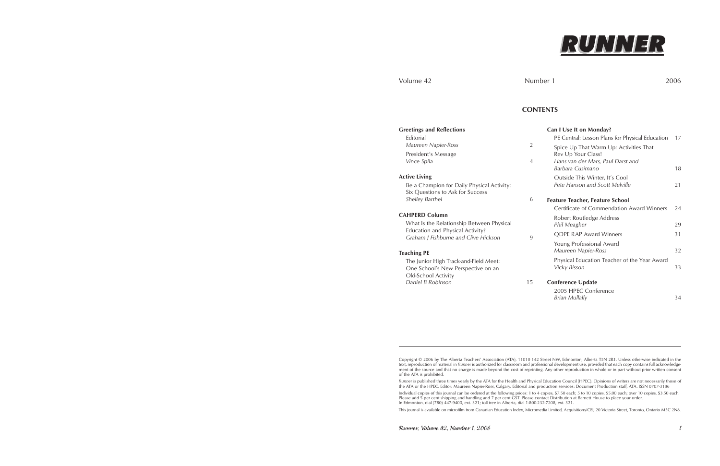36 Runner, Volume 42, Number 1, 2006 Runner, Volume 42, Number 1, 2006 1



### Volume 42 Number 1 2006

Copyright © 2006 by The Alberta Teachers' Association (ATA), 11010 142 Street NW, Edmonton, Alberta T5N 2R1. Unless otherwise indicated in the text, reproduction of material in *Runner* is authorized for classroom and professional development use, provided that each copy contains full acknowledgement of the source and that no charge is made beyond the cost of reprinting. Any other reproduction in whole or in part without prior written consent of the ATA is prohibited.

*Runner* is published three times yearly by the ATA for the Health and Physical Education Council (HPEC). Opinions of writers are not necessarily those of the ATA or the HPEC. Editor: Maureen Napier-Ross, Calgary. Editorial and production services: Document Production staff, ATA. ISSN 0707-3186

Be a Champion for Daily Physical Activity: Six Questions to Ask for Success **Shelley Barthel** 

What Is the Relationship Between Physical Education and Physical Activity? *Graham J Fishburne and Clive Hickson* 

The Junior High Track-and-Field Meet: One School's New Perspective on an Old-School Activity **Daniel B Robinson** 15

Individual copies of this journal can be ordered at the following prices: 1 to 4 copies, \$7.50 each; 5 to 10 copies, \$5.00 each; over 10 copies, \$3.50 each. Please add 5 per cent shipping and handling and 7 per cent GST. Please contact Distribution at Barnett House to place your order. In Edmonton, dial (780) 447-9400, ext. 321; toll free in Alberta, dial 1-800-232-7208, ext. 321.

This journal is available on microfilm from Canadian Education Index, Micromedia Limited, Acquisitions/CEI, 20 Victoria Street, Toronto, Ontario M5C 2N8.

## **CONTENTS**

### **Greetings and Reflections**

Editorial *Maureen Napier-Ross* 2 President's Message *Vince Spila* 4

#### **Active Living**

#### **CAHPERD Column**

#### **Teaching PE**

|   | Can I Use It on Monday?                                          |    |
|---|------------------------------------------------------------------|----|
|   | PE Central: Lesson Plans for Physical Education                  | 17 |
| 2 | Spice Up That Warm Up: Activities That<br>Rev Up Your Class!     |    |
| 4 | Hans van der Mars, Paul Darst and<br>Barbara Cusimano            | 18 |
|   | Outside This Winter, It's Cool<br>Pete Hanson and Scott Melville | 21 |
| 6 | <b>Feature Teacher, Feature School</b>                           |    |
|   | Certificate of Commendation Award Winners                        | 24 |
| 9 | Robert Routledge Address<br>Phil Meagher                         | 29 |
|   | <b>QDPE RAP Award Winners</b>                                    | 31 |
|   | Young Professional Award<br>Maureen Napier-Ross                  | 32 |
|   | Physical Education Teacher of the Year Award<br>Vicky Bisson     | 33 |
| 5 | <b>Conference Update</b>                                         |    |
|   | 2005 HPEC Conference                                             |    |
|   | <b>Brian Mullally</b>                                            | 34 |
|   |                                                                  |    |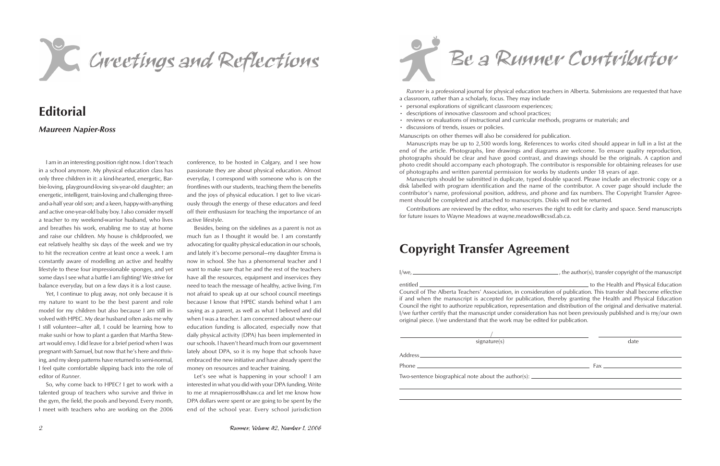C. Cirectings and Reflections

# **Editorial**

## *Maureen Napier-Ross*

I am in an interesting position right now. I don't teach in a school anymore. My physical education class has only three children in it: a kind-hearted, energetic, Barbie-loving, playground-loving six-year-old daughter; an energetic, intelligent, train-loving and challenging threeand-a-half year old son; and a keen, happy-with-anything and active one-year-old baby boy. I also consider myself a teacher to my weekend-warrior husband, who lives and breathes his work, enabling me to stay at home and raise our children. My house is childproofed, we eat relatively healthy six days of the week and we try to hit the recreation centre at least once a week. I am constantly aware of modelling an active and healthy lifestyle to these four impressionable sponges, and yet some days I see what a battle I am fighting! We strive for balance everyday, but on a few days it is a lost cause.

Yet, I continue to plug away, not only because it is my nature to want to be the best parent and role model for my children but also because I am still involved with HPEC. My dear husband often asks me why I still volunteer—after all, I could be learning how to make sushi or how to plant a garden that Martha Stewart would envy. I did leave for a brief period when I was pregnant with Samuel, but now that he's here and thriving, and my sleep patterns have returned to semi-normal, I feel quite comfortable slipping back into the role of editor of *Runner*.

So, why come back to HPEC? I get to work with a talented group of teachers who survive and thrive in the gym, the field, the pools and beyond. Every month, I meet with teachers who are working on the 2006

*Runner* is a professional journal for physical education teachers in Alberta. Submissions are requested that have a classroom, rather than a scholarly, focus. They may include

conference, to be hosted in Calgary, and I see how passionate they are about physical education. Almost everyday, I correspond with someone who is on the frontlines with our students, teaching them the benefits and the joys of physical education. I get to live vicariously through the energy of these educators and feed off their enthusiasm for teaching the importance of an active lifestyle.

Besides, being on the sidelines as a parent is not as much fun as I thought it would be. I am constantly advocating for quality physical education in our schools, and lately it's become personal—my daughter Emma is now in school. She has a phenomenal teacher and I want to make sure that he and the rest of the teachers have all the resources, equipment and inservices they need to teach the message of healthy, active living. I'm not afraid to speak up at our school council meetings because I know that HPEC stands behind what I am saying as a parent, as well as what I believed and did when I was a teacher. I am concerned about where our education funding is allocated, especially now that daily physical activity (DPA) has been implemented in our schools. I haven't heard much from our government lately about DPA, so it is my hope that schools have embraced the new initiative and have already spent the money on resources and teacher training.

Let's see what is happening in your school! I am interested in what you did with your DPA funding. Write to me at mnapierross@shaw.ca and let me know how DPA dollars were spent or are going to be spent by the end of the school year. Every school jurisdiction

Be a Runner Contributor

- personal explorations of significant classroom experiences;
- descriptions of innovative classroom and school practices;
- reviews or evaluations of instructional and curricular methods, programs or materials; and
- discussions of trends, issues or policies.

Manuscripts on other themes will also be considered for publication.

Manuscripts may be up to 2,500 words long. References to works cited should appear in full in a list at the end of the article. Photographs, line drawings and diagrams are welcome. To ensure quality reproduction, photographs should be clear and have good contrast, and drawings should be the originals. A caption and photo credit should accompany each photograph. The contributor is responsible for obtaining releases for use of photographs and written parental permission for works by students under 18 years of age.

Manuscripts should be submitted in duplicate, typed double spaced. Please include an electronic copy or a disk labelled with program identification and the name of the contributor. A cover page should include the contributor's name, professional position, address, and phone and fax numbers. The Copyright Transfer Agreement should be completed and attached to manuscripts. Disks will not be returned.

Contributions are reviewed by the editor, who reserves the right to edit for clarity and space. Send manuscripts for future issues to Wayne Meadows at wayne.meadows@cssd.ab.ca.

# **Copyright Transfer Agreement**

I/we, , the author(s), transfer copyright of the manuscript

entitled to the Health and Physical Education Council of The Alberta Teachers' Association, in consideration of publication. This transfer shall become effective if and when the manuscript is accepted for publication, thereby granting the Health and Physical Education Council the right to authorize republication, representation and distribution of the original and derivative material. I/we further certify that the manuscript under consideration has not been previously published and is my/our own original piece. I/we understand that the work may be edited for publication.

signature(s) date

/

- 
- 

Address

Phone  $\Box$ 

Two-sentence biographical note about the author(s): \_\_\_\_\_\_\_\_\_\_\_\_\_\_\_\_\_\_\_\_\_\_\_\_\_\_\_\_\_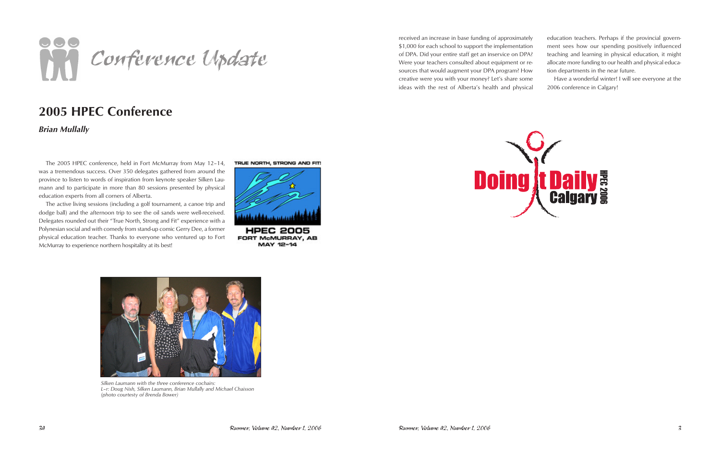

# **2005 HPEC Conference**

*Brian Mullally*

The 2005 HPEC conference, held in Fort McMurray from May 12–14, was a tremendous success. Over 350 delegates gathered from around the province to listen to words of inspiration from keynote speaker Silken Laumann and to participate in more than 80 sessions presented by physical education experts from all corners of Alberta.

The active living sessions (including a golf tournament, a canoe trip and dodge ball) and the afternoon trip to see the oil sands were well-received. Delegates rounded out their "True North, Strong and Fit" experience with a Polynesian social and with comedy from stand-up comic Gerry Dee, a former physical education teacher. Thanks to everyone who ventured up to Fort McMurray to experience northern hospitality at its best!

TRUE NORTH, STRONG AND FIT!



**FORT McMURRAY, AB** MAY 12-14



*Silken Laumann with the three conference cochairs: L–r: Doug Nish, Silken Laumann, Brian Mullally and Michael Chaisson (photo courtesty of Brenda Bower)*





education teachers. Perhaps if the provincial government sees how our spending positively influenced teaching and learning in physical education, it might allocate more funding to our health and physical education departments in the near future.

Have a wonderful winter! I will see everyone at the 2006 conference in Calgary!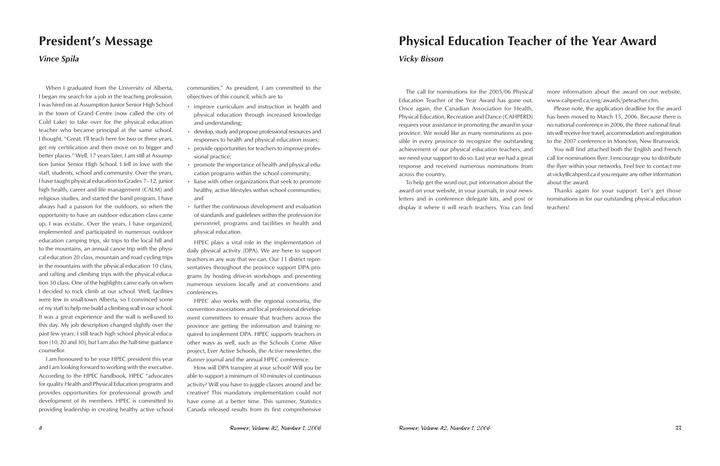# **President's Message**

## *Vince Spila*

When I graduated from the University of Alberta, I began my search for a job in the teaching profession. I was hired on at Assumption Junior Senior High School in the town of Grand Centre (now called the city of Cold Lake) to take over for the physical education teacher who became principal at the same school. I thought, "Great. I'll teach here for two or three years, get my certification and then move on to bigger and better places." Well, 17 years later, I am still at Assumption Junior Senior High School. I fell in love with the staff, students, school and community. Over the years, I have taught physical education to Grades 7–12, junior high health, career and life management (CALM) and religious studies, and started the band program. I have always had a passion for the outdoors, so when the opportunity to have an outdoor education class came up, I was ecstatic. Over the years, I have organized, implemented and participated in numerous outdoor education camping trips, ski trips to the local hill and to the mountains, an annual canoe trip with the physical education 20 class, mountain and road cycling trips in the mountains with the physical education 10 class, and rafting and climbing trips with the physical education 30 class. One of the highlights came early on when I decided to rock climb at our school. Well, facilities were few in small-town Alberta, so I convinced some of my staff to help me build a climbing wall in our school. It was a great experience and the wall is well-used to this day. My job description changed slightly over the past few years; I still teach high school physical education (10, 20 and 30), but I am also the half-time guidance counsellor.

I am honoured to be your HPEC president this year and I am looking forward to working with the executive. According to the HPEC handbook, HPEC "advocates for quality Health and Physical Education programs and provides opportunities for professional growth and development of its members. HPEC is committed to providing leadership in creating healthy active school communities." As president, I am committed to the objectives of this council, which are to

- improve curriculum and instruction in health and physical education through increased knowledge and understanding;
- develop, study and propose professional resources and responses to health and physical education issues;
- provide opportunities for teachers to improve professional practice;
- promote the importance of health and physical education programs within the school community;
- liaise with other organizations that seek to promote healthy, active lifestyles within school communities; and
- further the continuous development and evaluation of standards and guidelines within the profession for personnel, programs and facilities in health and physical education.

HPEC plays a vital role in the implementation of daily physical activity (DPA). We are here to support teachers in any way that we can. Our 11 district representatives throughout the province support DPA programs by hosting drive-in workshops and presenting numerous sessions locally and at conventions and conferences.

HPEC also works with the regional consortia, the convention associations and local professional development committees to ensure that teachers across the province are getting the information and training required to implement DPA. HPEC supports teachers in other ways as well, such as the Schools Come Alive project, Ever Active Schools, the *Active* newsletter, the *Runner* journal and the annual HPEC conference.

How will DPA transpire at your school? Will you be able to support a minimum of 30 minutes of continuous activity? Will you have to juggle classes around and be creative? This mandatory implementation could not have come at a better time. This summer, Statistics Canada released results from its first comprehensive

# **Physical Education Teacher of the Year Award**

## *Vicky Bisson*

The call for nominations for the 2005/06 Physical Education Teacher of the Year Award has gone out. Once again, the Canadian Association for Health, Physical Education, Recreation and Dance (CAHPERD) requires your assistance in promoting the award in your province. We would like as many nominations as possible in every province to recognize the outstanding achievement of our physical education teachers, and we need your support to do so. Last year we had a great response and received numerous nominations from across the country. To help get the word out, put information about the more information about the award on our website, www.cahperd.ca/eng/awards/peteacher.cfm. Please note, the application deadline for the award has been moved to March 15, 2006. Because there is no national conference in 2006, the three national finalists will receive free travel, accommodation and registration to the 2007 conference in Moncton, New Brunswick. You will find attached both the English and French call for nominations flyer. I encourage you to distribute the flyer within your networks. Feel free to contact me at vicky@cahperd.ca if you require any other information about the award.

award on your website, in your journals, in your newsletters and in conference delegate kits, and post or display it where it will reach teachers. You can find Thanks again for your support. Let's get those nominations in for our outstanding physical education teachers!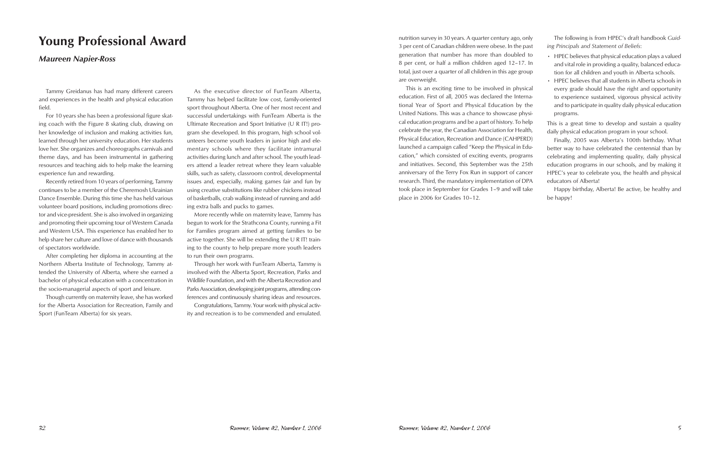# **Young Professional Award**

## *Maureen Napier-Ross*

Tammy Greidanus has had many different careers and experiences in the health and physical education field.

For 10 years she has been a professional figure skating coach with the Figure 8 skating club, drawing on her knowledge of inclusion and making activities fun, learned through her university education. Her students love her. She organizes and choreographs carnivals and theme days, and has been instrumental in gathering resources and teaching aids to help make the learning experience fun and rewarding.

Recently retired from 10 years of performing, Tammy continues to be a member of the Cheremosh Ukrainian Dance Ensemble. During this time she has held various volunteer board positions, including promotions director and vice-president. She is also involved in organizing and promoting their upcoming tour of Western Canada and Western USA. This experience has enabled her to help share her culture and love of dance with thousands of spectators worldwide.

After completing her diploma in accounting at the Northern Alberta Institute of Technology, Tammy attended the University of Alberta, where she earned a bachelor of physical education with a concentration in the socio-managerial aspects of sport and leisure.

Though currently on maternity leave, she has worked for the Alberta Association for Recreation, Family and Sport (FunTeam Alberta) for six years.

As the executive director of FunTeam Alberta, Tammy has helped facilitate low cost, family-oriented sport throughout Alberta. One of her most recent and successful undertakings with FunTeam Alberta is the Ultimate Recreation and Sport Initiative (U R IT!) program she developed. In this program, high school volunteers become youth leaders in junior high and elementary schools where they facilitate intramural activities during lunch and after school. The youth leaders attend a leader retreat where they learn valuable skills, such as safety, classroom control, developmental issues and, especially, making games fair and fun by using creative substitutions like rubber chickens instead of basketballs, crab walking instead of running and adding extra balls and pucks to games.

- HPEC believes that physical education plays a valued and vital role in providing a quality, balanced educa-
- HPEC believes that all students in Alberta schools in every grade should have the right and opportunity
- 

More recently while on maternity leave, Tammy has begun to work for the Strathcona County, running a Fit for Families program aimed at getting families to be active together. She will be extending the U R IT! training to the county to help prepare more youth leaders to run their own programs.

Through her work with FunTeam Alberta, Tammy is involved with the Alberta Sport, Recreation, Parks and Wildlife Foundation, and with the Alberta Recreation and Parks Association, developing joint programs, attending conferences and continuously sharing ideas and resources.

Congratulations, Tammy. Your work with physical activity and recreation is to be commended and emulated.

nutrition survey in 30 years. A quarter century ago, only 3 per cent of Canadian children were obese. In the past generation that number has more than doubled to 8 per cent, or half a million children aged 12–17. In total, just over a quarter of all children in this age group are overweight. The following is from HPEC's draft handbook *Guiding Principals and Statement of Beliefs*: tion for all children and youth in Alberta schools.

This is an exciting time to be involved in physical education. First of all, 2005 was declared the International Year of Sport and Physical Education by the United Nations. This was a chance to showcase physical education programs and be a part of history. To help celebrate the year, the Canadian Association for Health, Physical Education, Recreation and Dance (CAHPERD) launched a campaign called "Keep the Physical in Education," which consisted of exciting events, programs and initiatives. Second, this September was the 25th anniversary of the Terry Fox Run in support of cancer research. Third, the mandatory implementation of DPA took place in September for Grades 1–9 and will take place in 2006 for Grades 10–12. to experience sustained, vigorous physical activity and to participate in quality daily physical education programs. This is a great time to develop and sustain a quality daily physical education program in your school. Finally, 2005 was Alberta's 100th birthday. What better way to have celebrated the centennial than by celebrating and implementing quality, daily physical education programs in our schools, and by making it HPEC's year to celebrate you, the health and physical educators of Alberta! be happy!

Happy birthday, Alberta! Be active, be healthy and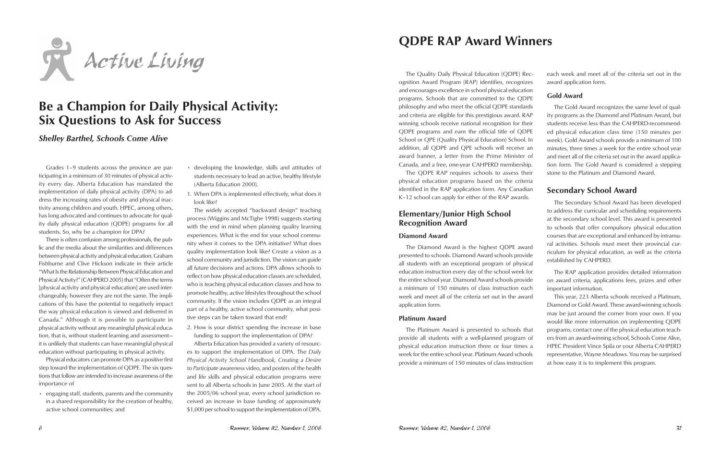

# **Be a Champion for Daily Physical Activity: Six Questions to Ask for Success**

*Shelley Barthel, Schools Come Alive*

Grades 1–9 students across the province are participating in a minimum of 30 minutes of physical activity every day. Alberta Education has mandated the implementation of daily physical activity (DPA) to address the increasing rates of obesity and physical inactivity among children and youth. HPEC, among others, has long advocated and continues to advocate for quality daily physical education (QDPE) programs for all students. So, why be a champion for DPA?

There is often confusion among professionals, the public and the media about the similarities and differences between physical activity and physical education. Graham Fishburne and Clive Hickson indicate in their article "What Is the Relationship Between Physical Education and Physical Activity?" (CAHPERD 2005) that "Often the terms [physical activity and physical education] are used interchangeably, however they are not the same. The implications of this have the potential to negatively impact the way physical education is viewed and delivered in Canada." Although it is possible to participate in physical activity without any meaningful physical education, that is, without student learning and assessment it is unlikely that students can have meaningful physical education without participating in physical activity.

Physical educators can promote DPA as a positive first step toward the implementation of QDPE. The six questions that follow are intended to increase awareness of the importance of

• engaging staff, students, parents and the community in a shared responsibility for the creation of healthy, active school communities; and

- developing the knowledge, skills and attitudes of students necessary to lead an active, healthy lifestyle (Alberta Education 2000).
- 1. When DPA is implemented effectively, what does it look like?

The widely accepted "backward design" teaching process (Wiggins and McTighe 1998) suggests starting with the end in mind when planning quality learning experiences. What is the end for your school community when it comes to the DPA initiative? What does quality implementation look like? Create a vision as a school community and jurisdiction. The vision can guide all future decisions and actions. DPA allows schools to reflect on how physical education classes are scheduled, who is teaching physical education classes and how to promote healthy, active lifestyles throughout the school community. If the vision includes QDPE as an integral part of a healthy, active school community, what positive steps can be taken toward that end?

2. How is your district spending the increase in base funding to support the implementation of DPA?

Alberta Education has provided a variety of resources to support the implementation of DPA. The *Daily Physical Activity School Handbook, Creating a Desire to Participate* awareness video, and posters of the health and life skills and physical education programs were sent to all Alberta schools in June 2005. At the start of the 2005/06 school year, every school jurisdiction received an increase in base funding of approximately \$1,000 per school to support the implementation of DPA.

# **QDPE RAP Award Winners**

physical education programs based on the criteria identified in the RAP application form. Any Canadian K–12 school can apply for either of the RAP awards.

## **Elementary/Junior High School Recognition Award**

#### **Diamond Award**

The Quality Daily Physical Education (QDPE) Recognition Award Program (RAP) identifies, recognizes and encourages excellence in school physical education programs. Schools that are committed to the QDPE philosophy and who meet the official QDPE standards and criteria are eligible for this prestigious award. RAP winning schools receive national recognition for their QDPE programs and earn the official title of QDPE School or QPE (Quality Physical Education) School. In addition, all QDPE and QPE schools will receive an award banner, a letter from the Prime Minister of Canada, and a free, one-year CAHPERD membership. The QDPE RAP requires schools to assess their each week and meet all of the criteria set out in the award application form. **Gold Award** The Gold Award recognizes the same level of quality programs as the Diamond and Platinum Award, but students receive less than the CAHPERD-recommended physical education class time (150 minutes per week). Gold Award schools provide a minimum of 100 minutes, three times a week for the entire school year and meet all of the criteria set out in the award application form. The Gold Award is considered a stepping stone to the Platinum and Diamond Award.

The Diamond Award is the highest QDPE award presented to schools. Diamond Award schools provide all students with an exceptional program of physical education instruction every day of the school week for the entire school year. Diamond Award schools provide a minimum of 150 minutes of class instruction each week and meet all of the criteria set out in the award

## **Secondary School Award**

application form. **Platinum Award** The Platinum Award is presented to schools that provide all students with a well-planned program of physical education instruction three or four times a week for the entire school year. Platinum Award schools provide a minimum of 150 minutes of class instruction This year, 223 Alberta schools received a Platinum, Diamond or Gold Award. These award-winning schools may be just around the corner from your own. If you would like more information on implementing QDPE programs, contact one of the physical education teachers from an award-winning school, Schools Come Alive, HPEC President Vince Spila or your Alberta CAHPERD representative, Wayne Meadows. You may be surprised at how easy it is to implement this program.

The Secondary School Award has been developed to address the curricular and scheduling requirements at the secondary school level. This award is presented to schools that offer compulsory physical education courses that are exceptional and enhanced by intramural activities. Schools must meet their provincial curriculum for physical education, as well as the criteria established by CAHPERD.

The RAP application provides detailed information on award criteria, applications fees, prizes and other important information.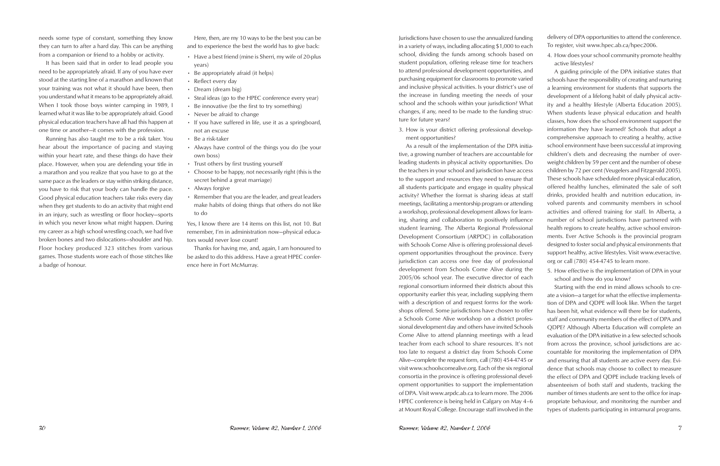needs some type of constant, something they know they can turn to after a hard day. This can be anything from a companion or friend to a hobby or activity.

It has been said that in order to lead people you need to be appropriately afraid. If any of you have ever stood at the starting line of a marathon and known that your training was not what it should have been, then you understand what it means to be appropriately afraid. When I took those boys winter camping in 1989, I learned what it was like to be appropriately afraid. Good physical education teachers have all had this happen at one time or another—it comes with the profession.

Running has also taught me to be a risk taker. You hear about the importance of pacing and staying within your heart rate, and these things do have their place. However, when you are defending your title in a marathon and you realize that you have to go at the same pace as the leaders or stay within striking distance, you have to risk that your body can handle the pace. Good physical education teachers take risks every day when they get students to do an activity that might end in an injury, such as wrestling or floor hockey—sports in which you never know what might happen. During my career as a high school wrestling coach, we had five broken bones and two dislocations—shoulder and hip. Floor hockey produced 323 stitches from various games. Those students wore each of those stitches like a badge of honour.

Here, then, are my 10 ways to be the best you can be and to experience the best the world has to give back:

- Have a best friend (mine is Sherri, my wife of 20-plus years)
- Be appropriately afraid (it helps)
- Reflect every day
- Dream (dream big)
- Steal ideas (go to the HPEC conference every year)
- Be innovative (be the first to try something)
- Never be afraid to change
- If you have suffered in life, use it as a springboard, not an excuse
- Be a risk-taker
- Always have control of the things you do (be your own boss)
- Trust others by first trusting yourself
- Choose to be happy, not necessarily right (this is the secret behind a great marriage)
- Always forgive
- Remember that you are the leader, and great leaders make habits of doing things that others do not like to do

Yes, I know there are 14 items on this list, not 10. But remember, I'm in administration now—physical educators would never lose count!

Thanks for having me, and, again, I am honoured to be asked to do this address. Have a great HPEC conference here in Fort McMurray.

Jurisdictions have chosen to use the annualized funding in a variety of ways, including allocating \$1,000 to each school, dividing the funds among schools based on student population, offering release time for teachers to attend professional development opportunities, and purchasing equipment for classrooms to promote varied and inclusive physical activities. Is your district's use of the increase in funding meeting the needs of your school and the schools within your jurisdiction? What changes, if any, need to be made to the funding structure for future years? 3. How is your district offering professional development opportunities? As a result of the implementation of the DPA initiadelivery of DPA opportunities to attend the conference. To register, visit www.hpec.ab.ca/hpec2006. 4. How does your school community promote healthy active lifestyles? A guiding principle of the DPA initiative states that schools have the responsibility of creating and nurturing a learning environment for students that supports the development of a lifelong habit of daily physical activity and a healthy lifestyle (Alberta Education 2005). When students leave physical education and health classes, how does the school environment support the information they have learned? Schools that adopt a comprehensive approach to creating a healthy, active school environment have been successful at improving children's diets and decreasing the number of overweight children by 59 per cent and the number of obese children by 72 per cent (Veugelers and Fitzgerald 2005). These schools have scheduled more physical education, offered healthy lunches, eliminated the sale of soft drinks, provided health and nutrition education, involved parents and community members in school activities and offered training for staff. In Alberta, a number of school jurisdictions have partnered with health regions to create healthy, active school environments. Ever Active Schools is the provincial program designed to foster social and physical environments that support healthy, active lifestyles. Visit www.everactive. org or call (780) 454-4745 to learn more.

tive, a growing number of teachers are accountable for leading students in physical activity opportunities. Do the teachers in your school and jurisdiction have access to the support and resources they need to ensure that all students participate and engage in quality physical activity? Whether the format is sharing ideas at staff meetings, facilitating a mentorship program or attending a workshop, professional development allows for learning, sharing and collaboration to positively influence student learning. The Alberta Regional Professional Development Consortium (ARPDC) in collaboration with Schools Come Alive is offering professional development opportunities throughout the province. Every jurisdiction can access one free day of professional development from Schools Come Alive during the 2005/06 school year. The executive director of each regional consortium informed their districts about this opportunity earlier this year, including supplying them with a description of and request forms for the workshops offered. Some jurisdictions have chosen to offer a Schools Come Alive workshop on a district professional development day and others have invited Schools Come Alive to attend planning meetings with a lead teacher from each school to share resources. It's not too late to request a district day from Schools Come Alive—complete the request form, call (780) 454-4745 or visit www.schoolscomealive.org. Each of the six regional consortia in the province is offering professional development opportunities to support the implementation of DPA. Visit www.arpdc.ab.ca to learn more. The 2006 HPEC conference is being held in Calgary on May 4–6 at Mount Royal College. Encourage staff involved in the 5. How effective is the implementation of DPA in your school and how do you know? Starting with the end in mind allows schools to create a vision—a target for what the effective implementation of DPA and QDPE will look like. When the target has been hit, what evidence will there be for students, staff and community members of the effect of DPA and QDPE? Although Alberta Education will complete an evaluation of the DPA initiative in a few selected schools from across the province, school jurisdictions are accountable for monitoring the implementation of DPA and ensuring that all students are active every day. Evidence that schools may choose to collect to measure the effect of DPA and QDPE include tracking levels of absenteeism of both staff and students, tracking the number of times students are sent to the office for inappropriate behaviour, and monitoring the number and types of students participating in intramural programs.

- 
-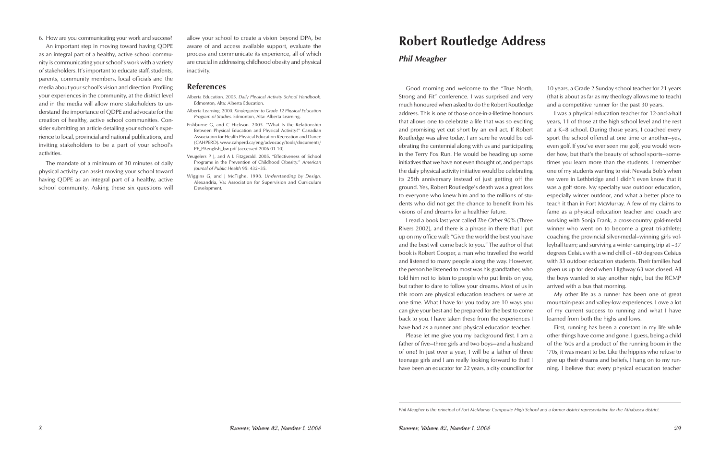6. How are you communicating your work and success?

An important step in moving toward having QDPE as an integral part of a healthy, active school community is communicating your school's work with a variety of stakeholders. It's important to educate staff, students, parents, community members, local officials and the media about your school's vision and direction. Profiling your experiences in the community, at the district level and in the media will allow more stakeholders to understand the importance of QDPE and advocate for the creation of healthy, active school communities. Consider submitting an article detailing your school's experience to local, provincial and national publications, and inviting stakeholders to be a part of your school's activities.

The mandate of a minimum of 30 minutes of daily physical activity can assist moving your school toward having QDPE as an integral part of a healthy, active school community. Asking these six questions will

allow your school to create a vision beyond DPA, be aware of and access available support, evaluate the process and communicate its experience, all of which are crucial in addressing childhood obesity and physical inactivity.

#### **References**

- Alberta Education. 2005. *Daily Physical Activity School Handbook.*  Edmonton, Alta: Alberta Education.
- Alberta Learning. 2000. *Kindergarten to Grade 12 Physical Education Program of Studies.* Edmonton, Alta: Alberta Learning.
- Fishburne G, and C Hickson. 2005. "What Is the Relationship Between Physical Education and Physical Activity?" Canadian Association for Health Physical Education Recreation and Dance (CAHPERD). www.cahperd.ca/eng/advocacy/tools/documents/ PE\_PAenglish\_bw.pdf (accessed 2006 01 10).
- Veugelers P J, and A L Fitzgerald. 2005. "Effectiveness of School Programs in the Prevention of Childhood Obesity." *American Journal of Public Health* 95: 432–35.
- Wiggins G, and J McTighe. 1998. *Understanding by Design.* Alexandria, Va: Association for Supervision and Curriculum Development.

# **Robert Routledge Address**

## *Phil Meagher*

Good morning and welcome to the "True North, Strong and Fit" conference. I was surprised and very much honoured when asked to do the Robert Routledge address. This is one of those once-in-a-lifetime honours I read a book last year called *The Other 90%* (Three 10 years, a Grade 2 Sunday school teacher for 21 years (that is about as far as my theology allows me to teach) and a competitive runner for the past 30 years. I was a physical education teacher for 12-and-a-half years, 11 of those at the high school level and the rest at a K–8 school. During those years, I coached every sport the school offered at one time or another—yes, even golf. If you've ever seen me golf, you would wonder how, but that's the beauty of school sports—sometimes you learn more than the students. I remember one of my students wanting to visit Nevada Bob's when we were in Lethbridge and I didn't even know that it was a golf store. My specialty was outdoor education, especially winter outdoor, and what a better place to teach it than in Fort McMurray. A few of my claims to fame as a physical education teacher and coach are working with Sonja Frank, a cross-country gold-medal winner who went on to become a great tri-athlete; coaching the provincial silver-medal–winning girls volleyball team; and surviving a winter camping trip at –37 degrees Celsius with a wind chill of –60 degrees Celsius with 33 outdoor education students. Their families had given us up for dead when Highway 63 was closed. All the boys wanted to stay another night, but the RCMP arrived with a bus that morning.

that allows one to celebrate a life that was so exciting and promising yet cut short by an evil act. If Robert Routledge was alive today, I am sure he would be celebrating the centennial along with us and participating in the Terry Fox Run. He would be heading up some initiatives that we have not even thought of, and perhaps the daily physical activity initiative would be celebrating its 25th anniversary instead of just getting off the ground. Yes, Robert Routledge's death was a great loss to everyone who knew him and to the millions of students who did not get the chance to benefit from his visions of and dreams for a healthier future. Rivers 2002), and there is a phrase in there that I put up on my office wall: "Give the world the best you have and the best will come back to you." The author of that book is Robert Cooper, a man who travelled the world and listened to many people along the way. However, the person he listened to most was his grandfather, who told him not to listen to people who put limits on you, but rather to dare to follow your dreams. Most of us in this room are physical education teachers or were at one time. What I have for you today are 10 ways you can give your best and be prepared for the best to come back to you. I have taken these from the experiences I have had as a runner and physical education teacher. My other life as a runner has been one of great mountain-peak and valley-low experiences. I owe a lot of my current success to running and what I have learned from both the highs and lows. First, running has been a constant in my life while

Please let me give you my background first. I am a father of five—three girls and two boys—and a husband of one! In just over a year, I will be a father of three teenage girls and I am really looking forward to that! I have been an educator for 22 years, a city councillor for other things have come and gone. I guess, being a child of the '60s and a product of the running boom in the '70s, it was meant to be. Like the hippies who refuse to give up their dreams and beliefs, I hang on to my running. I believe that every physical education teacher

*Phil Meagher is the principal of Fort McMurray Composite High School and a former district representative for the Athabasca district.*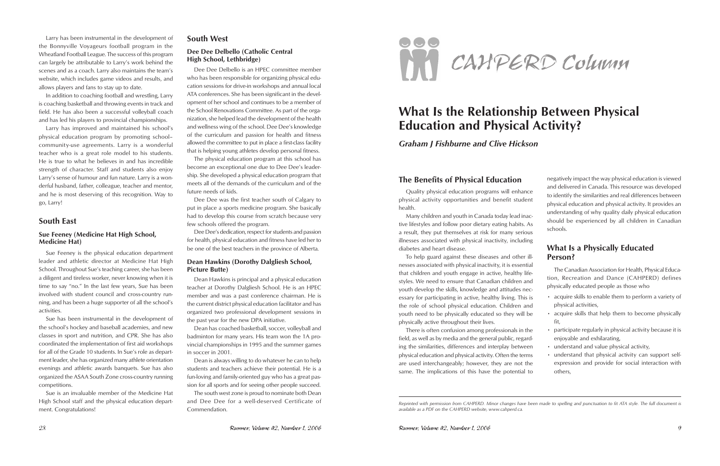Larry has been instrumental in the development of the Bonnyville Voyageurs football program in the Wheatland Football League. The success of this program can largely be attributable to Larry's work behind the scenes and as a coach. Larry also maintains the team's website, which includes game videos and results, and allows players and fans to stay up to date.

In addition to coaching football and wrestling, Larry is coaching basketball and throwing events in track and field. He has also been a successful volleyball coach and has led his players to provincial championships.

Larry has improved and maintained his school's physical education program by promoting school– community-use agreements. Larry is a wonderful teacher who is a great role model to his students. He is true to what he believes in and has incredible strength of character. Staff and students also enjoy Larry's sense of humour and fun nature. Larry is a wonderful husband, father, colleague, teacher and mentor, and he is most deserving of this recognition. Way to go, Larry!

## **South East**

### **Sue Feeney (Medicine Hat High School, Medicine Hat)**

Sue Feeney is the physical education department leader and athletic director at Medicine Hat High School. Throughout Sue's teaching career, she has been a diligent and tireless worker, never knowing when it is time to say "no." In the last few years, Sue has been involved with student council and cross-country running, and has been a huge supporter of all the school's activities.

Sue has been instrumental in the development of the school's hockey and baseball academies, and new classes in sport and nutrition, and CPR. She has also coordinated the implementation of first aid workshops for all of the Grade 10 students. In Sue's role as department leader, she has organized many athlete orientation evenings and athletic awards banquets. Sue has also organized the ASAA South Zone cross-country running competitions.

Sue is an invaluable member of the Medicine Hat High School staff and the physical education department. Congratulations!

### **South West**

#### **Dee Dee Delbello (Catholic Central High School, Lethbridge)**

Dee Dee Delbello is an HPEC committee member who has been responsible for organizing physical education sessions for drive-in workshops and annual local ATA conferences. She has been significant in the development of her school and continues to be a member of the School Renovations Committee. As part of the organization, she helped lead the development of the health and wellness wing of the school. Dee Dee's knowledge of the curriculum and passion for health and fitness allowed the committee to put in place a first-class facility that is helping young athletes develop personal fitness.

The physical education program at this school has become an exceptional one due to Dee Dee's leadership. She developed a physical education program that meets all of the demands of the curriculum and of the future needs of kids.

Dee Dee was the first teacher south of Calgary to put in place a sports medicine program. She basically had to develop this course from scratch because very few schools offered the program.

Dee Dee's dedication, respect for students and passion for health, physical education and fitness have led her to be one of the best teachers in the province of Alberta.

### **Dean Hawkins (Dorothy Dalgliesh School, Picture Butte)**

Dean Hawkins is principal and a physical education teacher at Dorothy Dalgliesh School. He is an HPEC member and was a past conference chairman. He is the current district physical education facilitator and has organized two professional development sessions in the past year for the new DPA initiative.

Dean has coached basketball, soccer, volleyball and badminton for many years. His team won the 1A provincial championships in 1995 and the summer games in soccer in 2001.

Dean is always willing to do whatever he can to help students and teachers achieve their potential. He is a fun-loving and family-oriented guy who has a great passion for all sports and for seeing other people succeed.

The south west zone is proud to nominate both Dean and Dee Dee for a well-deserved Certificate of Commendation.



# **What Is the Relationship Between Physical Education and Physical Activity?**

*Graham J Fishburne and Clive Hickson*

## **The Benefits of Physical Education**

Quality physical education programs will enhance physical activity opportunities and benefit student health.

Many children and youth in Canada today lead inactive lifestyles and follow poor dietary eating habits. As a result, they put themselves at risk for many serious illnesses associated with physical inactivity, including diabetes and heart disease.

To help guard against these diseases and other illnesses associated with physical inactivity, it is essential that children and youth engage in active, healthy lifestyles. We need to ensure that Canadian children and youth develop the skills, knowledge and attitudes necessary for participating in active, healthy living. This is the role of school physical education. Children and youth need to be physically educated so they will be physically active throughout their lives.

There is often confusion among professionals in the field, as well as by media and the general public, regarding the similarities, differences and interplay between physical education and physical activity. Often the terms are used interchangeably; however, they are not the same. The implications of this have the potential to

negatively impact the way physical education is viewed and delivered in Canada. This resource was developed to identify the similarities and real differences between physical education and physical activity. It provides an understanding of why quality daily physical education should be experienced by all children in Canadian schools.

## **What Is a Physically Educated Person?**

The Canadian Association for Health, Physical Education, Recreation and Dance (CAHPERD) defines physically educated people as those who

- acquire skills to enable them to perform a variety of physical activities,
- acquire skills that help them to become physically fit,
- participate regularly in physical activity because it is enjoyable and exhilarating,
- understand and value physical activity,
- understand that physical activity can support selfexpression and provide for social interaction with others,

*Reprinted with permission from CAHPERD. Minor changes have been made to spelling and punctuation to fit ATA style. The full document is* 

*available as a PDF on the CAHPERD website, www.cahperd.ca.*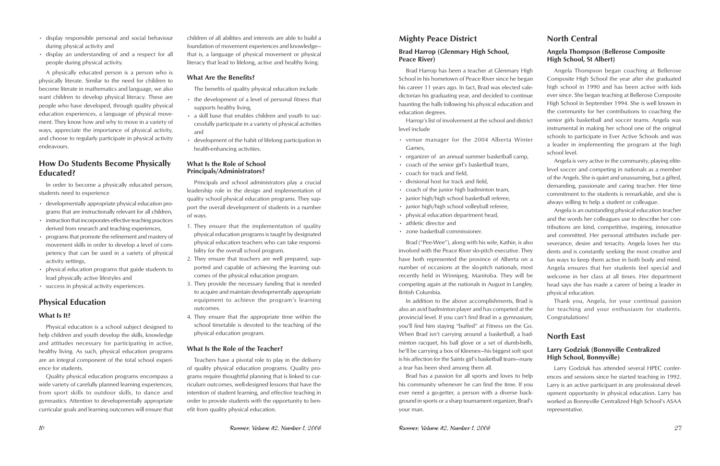- display responsible personal and social behaviour during physical activity and
- display an understanding of and a respect for all people during physical activity.

A physically educated person is a person who is physically literate. Similar to the need for children to become literate in mathematics and language, we also want children to develop physical literacy. These are people who have developed, through quality physical education experiences, a language of physical movement. They know how and why to move in a variety of ways, appreciate the importance of physical activity, and choose to regularly participate in physical activity endeavours.

## **How Do Students Become Physically Educated?**

In order to become a physically educated person, students need to experience

- developmentally appropriate physical education programs that are instructionally relevant for all children,
- instruction that incorporates effective teaching practices derived from research and teaching experiences,
- programs that promote the refinement and mastery of movement skills in order to develop a level of competency that can be used in a variety of physical activity settings,
- physical education programs that guide students to lead physically active lifestyles and
- success in physical activity experiences.

## **Physical Education**

#### **What Is It?**

Physical education is a school subject designed to help children and youth develop the skills, knowledge and attitudes necessary for participating in active, healthy living. As such, physical education programs are an integral component of the total school experience for students.

Quality physical education programs encompass a wide variety of carefully planned learning experiences, from sport skills to outdoor skills, to dance and gymnastics. Attention to developmentally appropriate curricular goals and learning outcomes will ensure that

children of all abilities and interests are able to build a foundation of movement experiences and knowledge that is, a language of physical movement or physical literacy that lead to lifelong, active and healthy living.

#### **What Are the Benefits?**

The benefits of quality physical education include

- the development of a level of personal fitness that supports healthy living,
- a skill base that enables children and youth to successfully participate in a variety of physical activities and
- development of the habit of lifelong participation in health-enhancing activities.

#### **What Is the Role of School Principals/Administrators?**

Principals and school administrators play a crucial leadership role in the design and implementation of quality school physical education programs. They support the overall development of students in a number of ways.

- 1. They ensure that the implementation of quality physical education programs is taught by designated physical education teachers who can take responsibility for the overall school program.
- 2. They ensure that teachers are well prepared, supported and capable of achieving the learning outcomes of the physical education program.
- 3. They provide the necessary funding that is needed to acquire and maintain developmentally appropriate equipment to achieve the program's learning outcomes.
- 4. They ensure that the appropriate time within the school timetable is devoted to the teaching of the physical education program.

#### **What Is the Role of the Teacher?**

Teachers have a pivotal role to play in the delivery of quality physical education programs. Quality programs require thoughtful planning that is linked to curriculum outcomes, well-designed lessons that have the intention of student learning, and effective teaching in order to provide students with the opportunity to benefit from quality physical education.

## **Mighty Peace District**

### **Brad Harrop (Glenmary High School, Peace River)**

Brad Harrop has been a teacher at Glenmary High School in his hometown of Peace River since he began his career 11 years ago. In fact, Brad was elected valedictorian his graduating year, and decided to continue haunting the halls following his physical education and education degrees.

Harrop's list of involvement at the school and district level include

- venue manager for the 2004 Alberta Winter Games,
- organizer of an annual summer basketball camp,
- coach of the senior girl's basketball team,
- coach for track and field,
- divisional host for track and field,
- coach of the junior high badminton team,
- junior high/high school basketball referee,
- junior high/high school volleyball referee,
- physical education department head,
- athletic director and
- zone basketball commissioner.

Brad ("Pee-Wee"), along with his wife, Kathie, is also involved with the Peace River slo-pitch executive. They have both represented the province of Alberta on a number of occasions at the slo-pitch nationals, most recently held in Winnipeg, Manitoba. They will be competing again at the nationals in August in Langley, British Columbia.

## **North Central**

### **Angela Thompson (Bellerose Composite High School, St Albert)**

Angela Thompson began coaching at Bellerose Composite High School the year after she graduated high school in 1990 and has been active with kids ever since. She began teaching at Bellerose Composite High School in September 1994. She is well known in the community for her contributions to coaching the senior girls basketball and soccer teams. Angela was instrumental in making her school one of the original schools to participate in Ever Active Schools and was a leader in implementing the program at the high school level.

In addition to the above accomplishments, Brad is also an avid badminton player and has competed at the provincial level. If you can't find Brad in a gymnasium, you'll find him staying "buffed" at Fitness on the Go. When Brad isn't carrying around a basketball, a badminton racquet, his ball glove or a set of dumb-bells, he'll be carrying a box of Kleenex—his biggest soft spot is his affection for the Saints girl's basketball team—many a tear has been shed among them all. Thank you, Angela, for your continual passion for teaching and your enthusiasm for students. Congratulations! **North East Larry Godziuk (Bonnyville Centralized High School, Bonnyville)** Larry Godziuk has attended several HPEC confer-

Angela is very active in the community, playing elitelevel soccer and competing in nationals as a member of the Angels. She is quiet and unassuming, but a gifted, demanding, passionate and caring teacher. Her time commitment to the students is remarkable, and she is always willing to help a student or colleague.

Brad has a passion for all sports and loves to help his community whenever he can find the time. If you ever need a go-getter, a person with a diverse background in sports or a sharp tournament organizer, Brad's your man. ences and sessions since he started teaching in 1992. Larry is an active participant in any professional development opportunity in physical education. Larry has worked as Bonnyville Centralized High School's ASAA representative.

Angela is an outstanding physical education teacher and the words her colleagues use to describe her contributions are kind, competitive, inspiring, innovative and committed. Her personal attributes include perseverance, desire and tenacity. Angela loves her students and is constantly seeking the most creative and fun ways to keep them active in both body and mind. Angela ensures that her students feel special and welcome in her class at all times. Her department head says she has made a career of being a leader in physical education.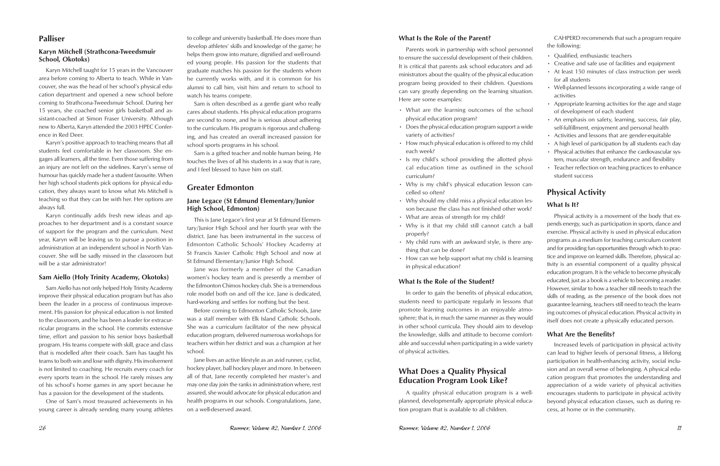## **Palliser**

### **Karyn Mitchell (Strathcona-Tweedsmuir School, Okotoks)**

Karyn Mitchell taught for 15 years in the Vancouver area before coming to Alberta to teach. While in Vancouver, she was the head of her school's physical education department and opened a new school before coming to Strathcona-Tweedsmuir School. During her 15 years, she coached senior girls basketball and assistant-coached at Simon Fraser University. Although new to Alberta, Karyn attended the 2003 HPEC Conference in Red Deer.

Karyn's positive approach to teaching means that all students feel comfortable in her classroom. She engages all learners, all the time. Even those suffering from an injury are not left on the sidelines. Karyn's sense of humour has quickly made her a student favourite. When her high school students pick options for physical education, they always want to know what Ms Mitchell is teaching so that they can be with her. Her options are always full.

Karyn continually adds fresh new ideas and approaches to her department and is a constant source of support for the program and the curriculum. Next year, Karyn will be leaving us to pursue a position in administration at an independent school in North Vancouver. She will be sadly missed in the classroom but will be a star administrator!

#### **Sam Aiello (Holy Trinity Academy, Okotoks)**

Sam Aiello has not only helped Holy Trinity Academy improve their physical education program but has also been the leader in a process of continuous improvement. His passion for physical education is not limited to the classroom, and he has been a leader for extracurricular programs in the school. He commits extensive time, effort and passion to his senior boys basketball program. His teams compete with skill, grace and class that is modelled after their coach. Sam has taught his teams to both win and lose with dignity. His involvement is not limited to coaching. He recruits every coach for every sports team in the school. He rarely misses any of his school's home games in any sport because he has a passion for the development of the students.

One of Sam's most treasured achievements in his young career is already sending many young athletes

to college and university basketball. He does more than develop athletes' skills and knowledge of the game; he helps them grow into mature, dignified and well-rounded young people. His passion for the students that graduate matches his passion for the students whom he currently works with, and it is common for his alumni to call him, visit him and return to school to watch his teams compete.

Sam is often described as a gentle giant who really cares about students. His physical education programs are second to none, and he is serious about adhering to the curriculum. His program is rigorous and challenging, and has created an overall increased passion for school sports programs in his school.

Sam is a gifted teacher and noble human being. He touches the lives of all his students in a way that is rare, and I feel blessed to have him on staff.

## **Greater Edmonton**

#### **Jane Legace (St Edmund Elementary/Junior High School, Edmonton)**

This is Jane Legace's first year at St Edmund Elementary/Junior High School and her fourth year with the district. Jane has been instrumental in the success of Edmonton Catholic Schools' Hockey Academy at St Francis Xavier Catholic High School and now at St Edmund Elementary/Junior High School.

Jane was formerly a member of the Canadian women's hockey team and is presently a member of the Edmonton Chimos hockey club. She is a tremendous role model both on and off the ice. Jane is dedicated, hard-working and settles for nothing but the best.

Before coming to Edmonton Catholic Schools, Jane was a staff member with Elk Island Catholic Schools. She was a curriculum facilitator of the new physical education program, delivered numerous workshops for teachers within her district and was a champion at her school.

Jane lives an active lifestyle as an avid runner, cyclist, hockey player, ball hockey player and more. In between all of that, Jane recently completed her master's and may one day join the ranks in administration where, rest assured, she would advocate for physical education and health programs in our schools. Congratulations, Jane, on a well-deserved award.

#### **What Is the Role of the Parent?**

Parents work in partnership with school personnel to ensure the successful development of their children. It is critical that parents ask school educators and administrators about the quality of the physical education program being provided to their children. Questions can vary greatly depending on the learning situation. Here are some examples:

- What are the learning outcomes of the school physical education program?
- Does the physical education program support a wide variety of activities?
- How much physical education is offered to my child each week?
- Is my child's school providing the allotted physical education time as outlined in the school curriculum?
- Why is my child's physical education lesson cancelled so often?
- Why should my child miss a physical education lesson because the class has not finished other work?
- What are areas of strength for my child?
- Why is it that my child still cannot catch a ball properly?
- My child runs with an awkward style, is there anything that can be done?
- How can we help support what my child is learning in physical education?

#### **What Is the Role of the Student?**

In order to gain the benefits of physical education, students need to participate regularly in lessons that promote learning outcomes in an enjoyable atmosphere; that is, in much the same manner as they would in other school curricula. They should aim to develop the knowledge, skills and attitude to become comfortable and successful when participating in a wide variety of physical activities.

## **What Does a Quality Physical Education Program Look Like?**

A quality physical education program is a wellplanned, developmentally appropriate physical education program that is available to all children.

CAHPERD recommends that such a program require the following:

- Qualified, enthusiastic teachers
- Creative and safe use of facilities and equipment
- At least 150 minutes of class instruction per week for all students
- Well-planned lessons incorporating a wide range of activities
- Appropriate learning activities for the age and stage of development of each student
- An emphasis on safety, learning, success, fair play, self-fulfillment, enjoyment and personal health
- Activities and lessons that are gender-equitable
- A high level of participation by all students each day • Physical activities that enhance the cardiovascular sys-
- tem, muscular strength, endurance and flexibility
- Teacher reflection on teaching practices to enhance student success

## **Physical Activity**

### **What Is It?**

Physical activity is a movement of the body that expends energy, such as participation in sports, dance and exercise. Physical activity is used in physical education programs as a medium for teaching curriculum content and for providing fun opportunities through which to practice and improve on learned skills. Therefore, physical activity is an essential component of a quality physical education program. It is the vehicle to become physically educated, just as a book is a vehicle to becoming a reader. However, similar to how a teacher still needs to teach the skills of reading, as the presence of the book does not guarantee learning, teachers still need to teach the learning outcomes of physical education. Physical activity in itself does not create a physically educated person.

### **What Are the Benefits?**

Increased levels of participation in physical activity can lead to higher levels of personal fitness, a lifelong participation in health-enhancing activity, social inclusion and an overall sense of belonging. A physical education program that promotes the understanding and appreciation of a wide variety of physical activities encourages students to participate in physical activity beyond physical education classes, such as during recess, at home or in the community.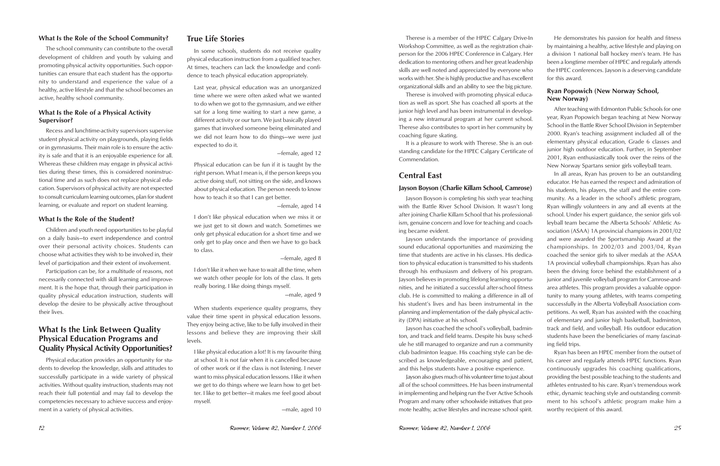#### **What Is the Role of the School Community?**

The school community can contribute to the overall development of children and youth by valuing and promoting physical activity opportunities. Such opportunities can ensure that each student has the opportunity to understand and experience the value of a healthy, active lifestyle and that the school becomes an active, healthy school community.

### **What Is the Role of a Physical Activity Supervisor?**

Recess and lunchtime-activity supervisors supervise student physical activity on playgrounds, playing fields or in gymnasiums. Their main role is to ensure the activity is safe and that it is an enjoyable experience for all. Whereas these children may engage in physical activities during these times, this is considered noninstructional time and as such does not replace physical education. Supervisors of physical activity are not expected to consult curriculum learning outcomes, plan for student learning, or evaluate and report on student learning.

#### **What Is the Role of the Student?**

Children and youth need opportunities to be playful on a daily basis—to exert independence and control over their personal activity choices. Students can choose what activities they wish to be involved in, their level of participation and their extent of involvement.

Participation can be, for a multitude of reasons, not necessarily connected with skill learning and improvement. It is the hope that, through their participation in quality physical education instruction, students will develop the desire to be physically active throughout their lives.

## **What Is the Link Between Quality Physical Education Programs and Quality Physical Activity Opportunities?**

Physical education provides an opportunity for students to develop the knowledge, skills and attitudes to successfully participate in a wide variety of physical activities. Without quality instruction, students may not reach their full potential and may fail to develop the competencies necessary to achieve success and enjoyment in a variety of physical activities.

## **True Life Stories**

In some schools, students do not receive quality physical education instruction from a qualified teacher. At times, teachers can lack the knowledge and confidence to teach physical education appropriately.

Last year, physical education was an unorganized time where we were often asked what we wanted to do when we got to the gymnasium, and we either sat for a long time waiting to start a new game, a different activity or our turn. We just basically played games that involved someone being eliminated and we did not learn how to do things—we were just expected to do it.

—female, aged 12

Physical education can be fun if it is taught by the right person. What I mean is, if the person keeps you active doing stuff, not sitting on the side, and knows about physical education. The person needs to know how to teach it so that I can get better.

—female, aged 14

I don't like physical education when we miss it or we just get to sit down and watch. Sometimes we only get physical education for a short time and we only get to play once and then we have to go back to class.

—female, aged 8

I don't like it when we have to wait all the time, when we watch other people for lots of the class. It gets really boring. I like doing things myself.

—male, aged 9

junior high level and has been instrumental in developing a new intramural program at her current school. Therese also contributes to sport in her community by It is a pleasure to work with Therese. She is an outstanding candidate for the HPEC Calgary Certificate of Commendation. After teaching with Edmonton Public Schools for one year, Ryan Popowich began teaching at New Norway School in the Battle River School Division in September 2000. Ryan's teaching assignment included all of the elementary physical education, Grade 6 classes and junior high outdoor education. Further, in September 2001, Ryan enthusiastically took over the reins of the New Norway Spartans senior girls volleyball team.

When students experience quality programs, they value their time spent in physical education lessons. They enjoy being active, like to be fully involved in their lessons and believe they are improving their skill levels.

I like physical education a lot! It is my favourite thing at school. It is not fair when it is cancelled because of other work or if the class is not listening. I never want to miss physical education lessons. I like it when we get to do things where we learn how to get better. I like to get better—it makes me feel good about myself.

—male, aged 10

Therese is involved with promoting physical education as well as sport. She has coached all sports at the coaching figure skating.

Therese is a member of the HPEC Calgary Drive-In Workshop Committee, as well as the registration chairperson for the 2006 HPEC Conference in Calgary. Her dedication to mentoring others and her great leadership skills are well noted and appreciated by everyone who works with her. She is highly productive and has excellent organizational skills and an ability to see the big picture. He demonstrates his passion for health and fitness by maintaining a healthy, active lifestyle and playing on a division 1 national ball hockey men's team. He has been a longtime member of HPEC and regularly attends the HPEC conferences. Jayson is a deserving candidate for this award.

and this helps students have a positive experience.

**Central East Jayson Boyson (Charlie Killam School, Camrose)** Jayson Boyson is completing his sixth year teaching with the Battle River School Division. It wasn't long after joining Charlie Killam School that his professionalism, genuine concern and love for teaching and coaching became evident. Jayson understands the importance of providing sound educational opportunities and maximizing the time that students are active in his classes. His dedication to physical education is transmitted to his students through his enthusiasm and delivery of his program. Jayson believes in promoting lifelong learning opportunities, and he initiated a successful after-school fitness club. He is committed to making a difference in all of his student's lives and has been instrumental in the planning and implementation of the daily physical activity (DPA) initiative at his school. Jayson has coached the school's volleyball, badminton, and track and field teams. Despite his busy schedule he still managed to organize and run a community In all areas, Ryan has proven to be an outstanding educator. He has earned the respect and admiration of his students, his players, the staff and the entire community. As a leader in the school's athletic program, Ryan willingly volunteers in any and all events at the school. Under his expert guidance, the senior girls volleyball team became the Alberta Schools' Athletic Association (ASAA) 1A provincial champions in 2001/02 and were awarded the Sportsmanship Award at the championships. In 2002/03 and 2003/04, Ryan coached the senior girls to silver medals at the ASAA 1A provincial volleyball championships. Ryan has also been the driving force behind the establishment of a junior and juvenile volleyball program for Camrose-andarea athletes. This program provides a valuable opportunity to many young athletes, with teams competing successfully in the Alberta Volleyball Association competitions. As well, Ryan has assisted with the coaching of elementary and junior high basketball, badminton, track and field, and volleyball. His outdoor education students have been the beneficiaries of many fascinating field trips.

#### **Ryan Popowich (New Norway School, New Norway)**

club badminton league. His coaching style can be described as knowledgeable, encouraging and patient, Jayson also gives much of his volunteer time to just about all of the school committees. He has been instrumental in implementing and helping run the Ever Active Schools Program and many other schoolwide initiatives that promote healthy, active lifestyles and increase school spirit. Ryan has been an HPEC member from the outset of his career and regularly attends HPEC functions. Ryan continuously upgrades his coaching qualifications, providing the best possible teaching to the students and athletes entrusted to his care. Ryan's tremendous work ethic, dynamic teaching style and outstanding commitment to his school's athletic program make him a worthy recipient of this award.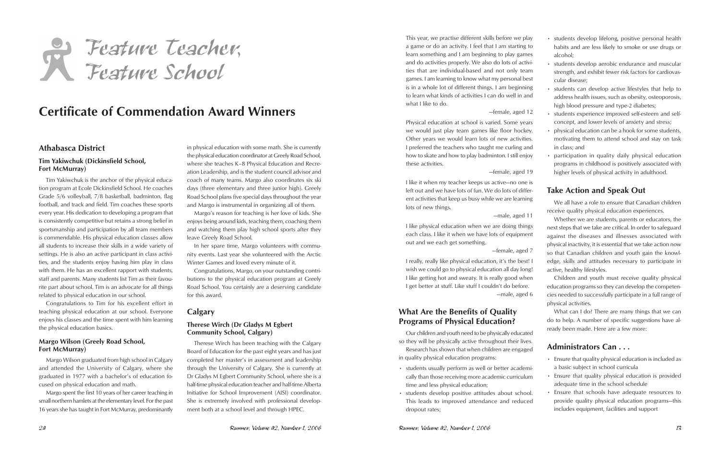# Feature Teacher, Feature School

# **Certificate of Commendation Award Winners**

## **Athabasca District**

#### **Tim Yakiwchuk (Dickinsfield School, Fort McMurray)**

Tim Yakiwchuk is the anchor of the physical education program at Ecole Dickinsfield School. He coaches Grade 5/6 volleyball, 7/8 basketball, badminton, flag football, and track and field. Tim coaches these sports every year. His dedication to developing a program that is consistently competitive but retains a strong belief in sportsmanship and participation by all team members is commendable. His physical education classes allow all students to increase their skills in a wide variety of settings. He is also an active participant in class activities, and the students enjoy having him play in class with them. He has an excellent rapport with students, staff and parents. Many students list Tim as their favourite part about school. Tim is an advocate for all things related to physical education in our school.

Congratulations to Tim for his excellent effort in teaching physical education at our school. Everyone enjoys his classes and the time spent with him learning the physical education basics.

### **Margo Wilson (Greely Road School, Fort McMurray)**

Margo Wilson graduated from high school in Calgary and attended the University of Calgary, where she graduated in 1977 with a bachelor's of education focused on physical education and math.

Margo spent the first 10 years of her career teaching in small northern hamlets at the elementary level. For the past 16 years she has taught in Fort McMurray, predominantly

in physical education with some math. She is currently the physical education coordinator at Greely Road School, where she teaches K–8 Physical Education and Recreation Leadership, and is the student council advisor and coach of many teams. Margo also coordinates six ski days (three elementary and three junior high). Greely Road School plans five special days throughout the year and Margo is instrumental in organizing all of them.

Margo's reason for teaching is her love of kids. She enjoys being around kids, teaching them, coaching them and watching them play high school sports after they leave Greely Road School.

In her spare time, Margo volunteers with community events. Last year she volunteered with the Arctic Winter Games and loved every minute of it.

Congratulations, Margo, on your outstanding contributions to the physical education program at Greely Road School. You certainly are a deserving candidate for this award.

## **Calgary**

#### **Therese Wirch (Dr Gladys M Egbert Community School, Calgary)**

Therese Wirch has been teaching with the Calgary Board of Education for the past eight years and has just completed her master's in assessment and leadership through the University of Calgary. She is currently at Dr Gladys M Egbert Community School, where she is a half-time physical education teacher and half-time Alberta Initiative for School Improvement (AISI) coordinator. She is extremely involved with professional development both at a school level and through HPEC.

This year, we practise different skills before we play a game or do an activity. I feel that I am starting to learn something and I am beginning to play games and do activities properly. We also do lots of activities that are individual-based and not only team games. I am learning to know what my personal best is in a whole lot of different things. I am beginning to learn what kinds of activities I can do well in and what I like to do.

#### —female, aged 12

Physical education at school is varied. Some years we would just play team games like floor hockey. Other years we would learn lots of new activities. I preferred the teachers who taught me curling and how to skate and how to play badminton. I still enjoy these activities.

#### —female, aged 19

I like it when my teacher keeps us active—no one is left out and we have lots of fun. We do lots of different activities that keep us busy while we are learning lots of new things.

#### —male, aged 11

I like getting hot and sweaty. It is really good when I get better at stuff. Like stuff I couldn't do before. —male, aged 6

## **What Are the Benefits of Quality Programs of Physical Education?**

Our children and youth need to be physically educated so they will be physically active throughout their lives.

Research has shown that when children are engaged in quality physical education programs:

- students usually perform as well or better academically than those receiving more academic curriculum time and less physical education;
- students develop positive attitudes about school. This leads to improved attendance and reduced dropout rates;

I like physical education when we are doing things each class. I like it when we have lots of equipment out and we each get something. —female, aged 7 I really, really like physical education, it's the best! I wish we could go to physical education all day long! Whether we are students, parents or educators, the next steps that we take are critical. In order to safeguard against the diseases and illnesses associated with physical inactivity, it is essential that we take action now so that Canadian children and youth gain the knowledge, skills and attitudes necessary to participate in active, healthy lifestyles.

- students develop lifelong, positive personal health habits and are less likely to smoke or use drugs or alcohol;
- students develop aerobic endurance and muscular strength, and exhibit fewer risk factors for cardiovascular disease;
- students can develop active lifestyles that help to address health issues, such as obesity, osteoporosis, high blood pressure and type-2 diabetes;
- students experience improved self-esteem and selfconcept, and lower levels of anxiety and stress;
- physical education can be a hook for some students, motivating them to attend school and stay on task in class; and
- participation in quality daily physical education programs in childhood is positively associated with higher levels of physical activity in adulthood.

## **Take Action and Speak Out**

We all have a role to ensure that Canadian children receive quality physical education experiences.

Children and youth must receive quality physical education programs so they can develop the competencies needed to successfully participate in a full range of physical activities.

What can I do? There are many things that we can do to help. A number of specific suggestions have already been made. Here are a few more:

## **Administrators Can . . .**

- Ensure that quality physical education is included as a basic subject in school curricula
- Ensure that quality physical education is provided adequate time in the school schedule
- Ensure that schools have adequate resources to provide quality physical education programs—this includes equipment, facilities and support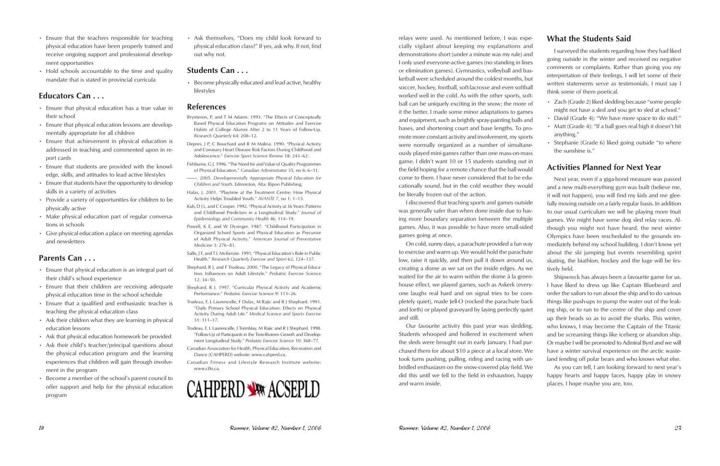- Ensure that the teachers responsible for teaching physical education have been properly trained and receive ongoing support and professional development opportunities
- Hold schools accountable to the time and quality mandate that is stated in provincial curricula

## **Educators Can . . .**

- Ensure that physical education has a true value in their school
- Ensure that physical education lessons are developmentally appropriate for all children
- Ensure that achievement in physical education is addressed in teaching and commented upon in report cards
- Ensure that students are provided with the knowledge, skills, and attitudes to lead active lifestyles
- Ensure that students have the opportunity to develop skills in a variety of activities
- Provide a variety of opportunities for children to be physically active
- Make physical education part of regular conversations in schools
- Give physical education a place on meeting agendas and newsletters

### **Parents Can . . .**

- Ensure that physical education is an integral part of their child's school experience
- Ensure that their children are receiving adequate physical education time in the school schedule
- Ensure that a qualified and enthusiastic teacher is teaching the physical education class
- Ask their children what they are learning in physical education lessons
- Ask that physical education homework be provided
- Ask their child's teacher/principal questions about the physical education program and the learning experiences that children will gain through involvement in the program
- Become a member of the school's parent council to offer support and help for the physical education program

• Ask themselves, "Does my child look forward to physical education class?" If yes, ask why. If not, find out why not.

## **Students Can . . .**

• Become physically educated and lead active, healthy lifestyles

## **References**

Brynteson, P, and T M Adams. 1993. "The Effects of Conceptually Based Physical Education Programs on Attitudes and Exercise Habits of College Alumni After 2 to 11 Years of Follow-Up. *Research Quarterly* 64: 208–12.

Depres, J P, C Bouchard and R M Malina. 1990. "Physical Activity and Coronary Heart Disease Risk Factors During Childhood and Adolescence." *Exercise Sport Science Review* 18: 243–62.

Fishburne, G J. 1996. "The Need for and Value of Quality Programmes of Physical Education." *Canadian Administrator* 35, no 6: 6–11.

- ———. 2005. *Developmentally Appropriate Physical Education for Children and Youth*. Edmonton, Alta: Ripon Publishing.
- Halas, J. 2001. "Playtime at the Treatment Centre: How Physical Activity Helps Troubled Youth." *AVANTE* 7, no 1: 1–13.
- Kuh, D J L, and C Cooper. 1992. "Physical Activity at 36 Years: Patterns and Childhood Predictors in a Longitudinal Study." *Journal of Epidemiology and Community Health* 46: 114–19.

Powell, K E, and W Dysinger. 1987. "Childhood Participation in Organized School Sports and Physical Education as Precursor of Adult Physical Activity." *American Journal of Preventative Medicine* 3: 276–81.

- Sallis, J F, and T L McKenzie. 1991. "Physical Education's Role in Public Health." *Research Quarterly Exercise and Sport* 62, 124–137.
- Shephard, R J, and F Trudeau. 2000. "The Legacy of Physical Education: Influences on Adult Lifestyle." *Pediatric Exercise Science*   $12: 34-50$
- Shephard, R J. 1997. "Curricular Physical Activity and Academic Performance." *Pediatric Exercise Science* 9: 113–26.
- Trudeau, F, L Laurencelle, F Dulac, M Rajic and R J Shephard. 1991. "Daily Primary School Physical Education: Effects on Physical Activity During Adult Life." *Medical Science and Sports Exercise* 31: 111–17.

Trudeau, F, L Laurencelle, J Tremblay, M Rajic and R J Shephard. 1998. "Follow-Up of Participants in the Trois-Rivieres Growth and Development Longitudinal Study." *Pediatric Exercise Science* 10: 368–77.

- Canadian Association for Health, Physical Education, Recreation and Dance (CAHPERD) website: www.cahperd.ca.
- Canadian Fitness and Lifestyle Research Institute website: www.cflri.ca.



relays were used. As mentioned before, I was especially vigilant about keeping my explanations and demonstrations short (under a minute was my rule) and I only used everyone-active games (no standing in lines or elimination games). Gymnastics, volleyball and basketball were scheduled around the coldest months, but soccer, hockey, football, soft-lacrosse and even softball worked well in the cold. As with the other sports, softball can be uniquely exciting in the snow; the more of it the better. I made some minor adaptations to games and equipment, such as brightly spray-painting balls and bases, and shortening court and base lengths. To promote more constant activity and involvement, my sports were normally organized as a number of simultaneously played mini-games rather than one mass-on-mass game. I didn't want 10 or 15 students standing out in the field hoping for a remote chance that the ball would come to them. I have never considered that to be edube literally frozen out of the action.

waited for the air to warm within the dome à la greenhouse effect, we played games, such as Askerk (everyone laughs real hard and on signal tries to be completely quiet), made Jell-O (rocked the parachute back and forth) or played graveyard by laying perfectly quiet and still.

## **What the Students Said**

cationally sound, but in the cold weather they would I discovered that teaching sports and games outside was generally safer than when done inside due to having more boundary separation between the multiple games. Also, it was possible to have more small-sided games going at once. On cold, sunny days, a parachute provided a fun way to exercise and warm up. We would hold the parachute low, raise it quickly, and then pull it down around us, creating a dome as we sat on the inside edges. As we Next year, even if a giga-bond measure was passed and a new multi-everything gym was built (believe me, it will not happen), you will find my kids and me gleefully moving outside on a fairly regular basis. In addition to our usual curriculum we will be playing more Inuit games. We might have some dog sled relay races. Although you might not have heard, the next winter Olympics have been rescheduled to the grounds immediately behind my school building. I don't know yet about the ski jumping but events resembling sprint skating, the biathlon, hockey and the luge will be festively held.

I surveyed the students regarding how they had liked going outside in the winter and received no negative comments or complaints. Rather than giving you my interpretation of their feelings, I will let some of their written statements serve as testimonials. I must say I think some of them poetical.

- Zach (Grade 2) liked sledding because "some people might not have a sled and you get to sled at school."
- David (Grade 4): "We have more space to do stuff."
- Matt (Grade 4): "If a ball goes real high it doesn't hit anything."
- Stephanie (Grade 6) liked going outside "to where the sunshine is."

## **Activities Planned for Next Year**

Our favourite activity this past year was sledding. Students whooped and hollered in excitement when the sleds were brought out in early January. I had purchased them for about \$10 a piece at a local store. We took turns pushing, pulling, riding and racing with unbridled enthusiasm on the snow-covered play field. We did this until we fell to the field in exhaustion, happy and warm inside. have a winter survival experience on the arctic wasteland fending off polar bears and who knows what else. As you can tell, I am looking forward to next year's happy hearts and happy faces, happy play in snowy places. I hope maybe you are, too.

Shipwreck has always been a favourite game for us. I have liked to dress up like Captain Bluebeard and order the sailors to run about the ship and to do various things like push-ups to pump the water out of the leaking ship, or to run to the centre of the ship and cover up their heads so as to avoid the sharks. This winter, who knows, I may become the Captain of the Titanic and be screaming things like iceberg or abandon ship. Or maybe I will be promoted to Admiral Byrd and we will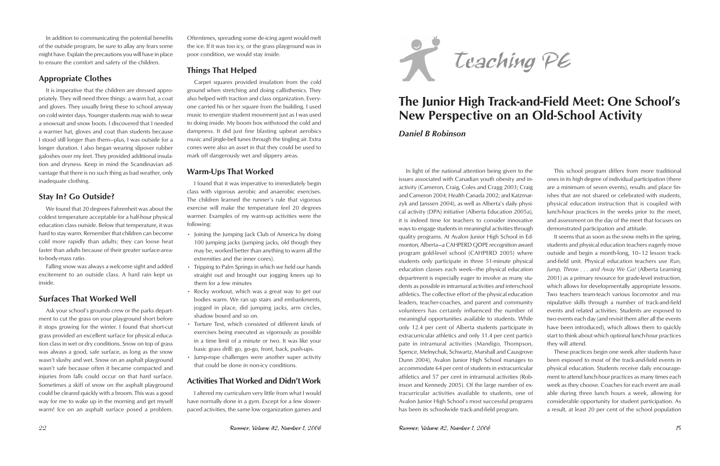In addition to communicating the potential benefits of the outside program, be sure to allay any fears some might have. Explain the precautions you will have in place to ensure the comfort and safety of the children.

## **Appropriate Clothes**

It is imperative that the children are dressed appropriately. They will need three things: a warm hat, a coat and gloves. They usually bring these to school anyway on cold winter days. Younger students may wish to wear a snowsuit and snow boots. I discovered that I needed a warmer hat, gloves and coat than students because I stood still longer than them—plus, I was outside for a longer duration. I also began wearing slipover rubber galoshes over my feet. They provided additional insulation and dryness. Keep in mind the Scandinavian advantage that there is no such thing as bad weather, only inadequate clothing.

## **Stay In? Go Outside?**

We found that 20 degrees Fahrenheit was about the coldest temperature acceptable for a half-hour physical education class outside. Below that temperature, it was hard to stay warm. Remember that children can become cold more rapidly than adults; they can loose heat faster than adults because of their greater surface-areato-body-mass ratio.

Falling snow was always a welcome sight and added excitement to an outside class. A hard rain kept us inside.

## **Surfaces That Worked Well**

Ask your school's grounds crew or the parks department to cut the grass on your playground short before it stops growing for the winter. I found that short-cut grass provided an excellent surface for physical education class in wet or dry conditions. Snow on top of grass was always a good, safe surface, as long as the snow wasn't slushy and wet. Snow on an asphalt playground wasn't safe because often it became compacted and injuries from falls could occur on that hard surface. Sometimes a skiff of snow on the asphalt playground could be cleared quickly with a broom. This was a good way for me to wake up in the morning and get myself warm! Ice on an asphalt surface posed a problem.

- Joining the Jumping Jack Club of America by doing 100 jumping jacks (jumping jacks, old though they may be, worked better than anything to warm all the extremities and the inner cores).
- Tripping to Palm Springs in which we held our hands straight out and brought our jogging knees up to them for a few minutes
- Rocky workout, which was a great way to get our bodies warm. We ran up stairs and embankments, jogged in place, did jumping jacks, arm circles, shadow boxed and so on.
- Torture Test, which consisted of different kinds of exercises being executed as vigorously as possible in a time limit of a minute or two. It was like your basic grass drill: go, go-go, front, back, push-ups.
- Jump-rope challenges were another super activity that could be done in non-icy conditions.

Oftentimes, spreading some de-icing agent would melt the ice. If it was too icy, or the grass playground was in poor condition, we would stay inside.

## **Things That Helped**

Carpet squares provided insulation from the cold ground when stretching and doing callisthenics. They also helped with traction and class organization. Everyone carried his or her square from the building. I used music to energize student movement just as I was used to doing inside. My boom box withstood the cold and dampness. It did just fine blasting upbeat aerobics music and jingle-bell tunes through the tingling air. Extra cones were also an asset in that they could be used to mark off dangerously wet and slippery areas.

## **Warm-Ups That Worked**

I found that it was imperative to immediately begin class with vigorous aerobic and anaerobic exercises. The children learned the runner's rule that vigorous exercise will make the temperature feel 20 degrees warmer. Examples of my warm-up activities were the following:

## **Activities That Worked and Didn't Work**

I altered my curriculum very little from what I would have normally done in a gym. Except for a few slowerpaced activities, the same low organization games and



# **The Junior High Track-and-Field Meet: One School's New Perspective on an Old-School Activity**

## *Daniel B Robinson*

In light of the national attention being given to the issues associated with Canadian youth obesity and inactivity (Cameron, Craig, Coles and Cragg 2003; Craig and Cameron 2004; Health Canada 2002; and Katzmarzyk and Janssen 2004), as well as Alberta's daily physical activity (DPA) initiative (Alberta Education 2005a), it is indeed time for teachers to consider innovative ways to engage students in meaningful activities through quality programs. At Avalon Junior High School in Edmonton, Alberta—a CAHPERD QDPE recognition award program gold-level school (CAHPERD 2005) where students only participate in three 51-minute physical education classes each week—the physical education department is especially eager to involve as many students as possible in intramural activities and interschool athletics. The collective effort of the physical education leaders, teacher-coaches, and parent and community volunteers has certainly influenced the number of meaningful opportunities available to students. While only 12.4 per cent of Alberta students participate in extracurricular athletics and only 31.4 per cent participate in intramural activities (Mandigo, Thompson, Spence, Melnychuk, Schwartz, Marshall and Causgrove Dunn 2004), Avalon Junior High School manages to accommodate 64 per cent of students in extracurricular athletics and 57 per cent in intramural activities (Robinson and Kennedy 2005). Of the large number of extracurricular activities available to students, one of Avalon Junior High School's most successful programs has been its schoolwide track-and-field program. This school program differs from more traditional ones in its high degree of individual participation (there are a minimum of seven events), results and place finishes that are not shared or celebrated with students, physical education instruction that is coupled with lunch-hour practices in the weeks prior to the meet, and assessment on the day of the meet that focuses on demonstrated participation and attitude. It seems that as soon as the snow melts in the spring, students and physical education teachers eagerly move outside and begin a month-long, 10–12 lesson trackand-field unit. Physical education teachers use *Run, Jump, Throw . . . and Away We Go!* (Alberta Learning 2001) as a primary resource for grade-level instruction, which allows for developmentally appropriate lessons. Two teachers team-teach various locomotor and manipulative skills through a number of track-and-field events and related activities. Students are exposed to two events each day (and revisit them after all the events have been introduced), which allows them to quickly start to think about which optional lunch-hour practices they will attend. These practices begin one week after students have been exposed to most of the track-and-field events in physical education. Students receive daily encouragement to attend lunch-hour practices as many times each week as they choose. Coaches for each event are available during three lunch hours a week, allowing for considerable opportunity for student participation. As a result, at least 20 per cent of the school population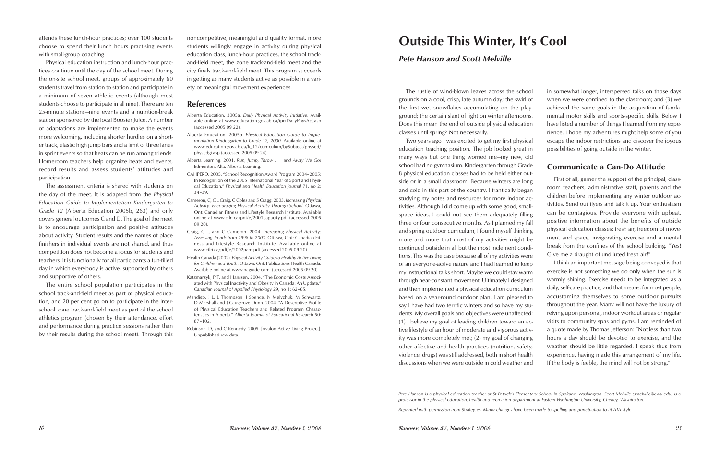attends these lunch-hour practices; over 100 students choose to spend their lunch hours practising events with small-group coaching.

Physical education instruction and lunch-hour practices continue until the day of the school meet. During the on-site school meet, groups of approximately 60 students travel from station to station and participate in a minimum of seven athletic events (although most students choose to participate in all nine). There are ten 25-minute stations—nine events and a nutrition-break station sponsored by the local Booster Juice. A number of adaptations are implemented to make the events more welcoming, including shorter hurdles on a shorter track, elastic high jump bars and a limit of three lanes in sprint events so that heats can be run among friends. Homeroom teachers help organize heats and events, record results and assess students' attitudes and participation.

The assessment criteria is shared with students on the day of the meet. It is adapted from the *Physical Education Guide to Implementation Kindergarten to Grade 12* (Alberta Education 2005b, 263) and only covers general outcomes C and D. The goal of the meet is to encourage participation and positive attitudes about activity. Student results and the names of place finishers in individual events are not shared, and thus competition does not become a focus for students and teachers. It is functionally for all participants a fun-filled day in which everybody is active, supported by others and supportive of others.

The entire school population participates in the school track-and-field meet as part of physical education, and 20 per cent go on to participate in the interschool zone track-and-field meet as part of the school athletics program (chosen by their attendance, effort and performance during practice sessions rather than by their results during the school meet). Through this noncompetitive, meaningful and quality format, more students willingly engage in activity during physical education class, lunch-hour practices, the school trackand-field meet, the zone track-and-field meet and the city finals track-and-field meet. This program succeeds in getting as many students active as possible in a variety of meaningful movement experiences.

### **References**

- Alberta Education. 2005a. *Daily Physical Activity Initiative*. Available online at www.education.gov.ab.ca/ipr/DailyPhysAct.asp (accessed 2005 09 22).
- Alberta Education. 2005b. *Physical Education Guide to Implementation Kindergarten to Grade 12, 2000*. Available online at www.education.gov.ab.ca/k\_12/curriculum/bySubject/physed/ physedgi.asp (accessed 2005 09 24).
- Alberta Learning. 2001. *Run, Jump, Throw . . . and Away We Go!*  Edmonton, Alta. Alberta Learning.
- CAHPERD. 2005. "School Recognition Award Program 2004–2005: In Recognition of the 2005 International Year of Sport and Physical Education." *Physical and Health Education Journal* 71, no 2: 34–39.
- Cameron, C, C L Craig, C Coles and S Cragg. 2003. *Increasing Physical Activity: Encouraging Physical Activity Through School.* Ottawa, Ont: Canadian Fitness and Lifestyle Research Institute. Available online at www.cflri.ca/pdf/e/2001capacity.pdf (accessed 2005 09 20).
- Craig, C L, and C Cameron. 2004. *Increasing Physical Activity: Assessing Trends from 1998 to 2003*. Ottawa, Ont: Canadian Fitness and Lifestyle Research Institute. Available online at www.cflri.ca/pdf/e/2002pam.pdf (accessed 2005 09 20).
- Health Canada (2002). *Physical Activity Guide to Healthy Active Living for Children and Youth*. Ottawa, Ont: Publications Health Canada. Available online at www.paguide.com. (accessed 2005 09 20).
- Katzmarzyk, P T, and I Janssen. 2004. "The Economic Costs Associated with Physical Inactivity and Obesity in Canada: An Update." *Canadian Journal of Applied Physiology* 29, no 1: 62–65.
- Mandigo, J L, L Thompson, J Spence, N Melychuk, M Schwartz, D Marshall and J Causgrove Dunn. 2004. "A Descriptive Profile of Physical Education Teachers and Related Program Characteristics in Alberta." *Alberta Journal of Educational Research* 50: 87–102.
- Robinson, D, and C Kennedy. 2005. [Avalon Active Living Project]. Unpublished raw data.

# **Outside This Winter, It's Cool**

## *Pete Hanson and Scott Melville*

The rustle of wind-blown leaves across the school grounds on a cool, crisp, late autumn day; the swirl of the first wet snowflakes accumulating on the playground; the certain slant of light on winter afternoons. Does this mean the end of outside physical education classes until spring? Not necessarily. Two years ago I was excited to get my first physical in somewhat longer, interspersed talks on those days when we were confined to the classroom; and (3) we achieved the same goals in the acquisition of fundamental motor skills and sports-specific skills. Below I have listed a number of things I learned from my experience. I hope my adventures might help some of you escape the indoor restrictions and discover the joyous possibilities of going outside in the winter.

education teaching position. The job looked great in many ways but one thing worried me—my new, old school had no gymnasium. Kindergarten through Grade 8 physical education classes had to be held either outside or in a small classroom. Because winters are long and cold in this part of the country, I frantically began studying my notes and resources for more indoor activities. Although I did come up with some good, smallspace ideas, I could not see them adequately filling three or four consecutive months. As I planned my fall and spring outdoor curriculum, I found myself thinking more and more that most of my activities might be continued outside in all but the most inclement conditions. This was the case because all of my activities were of an everyone-active nature and I had learned to keep my instructional talks short. Maybe we could stay warm through near-constant movement. Ultimately I designed and then implemented a physical education curriculum based on a year-round outdoor plan. I am pleased to say I have had two terrific winters and so have my students. My overall goals and objectives were unaffected: (1) I believe my goal of leading children toward an active lifestyle of an hour of moderate and vigorous activity was more completely met; (2) my goal of changing other affective and health practices (nutrition, safety, violence, drugs) was still addressed, both in short health discussions when we were outside in cold weather and **Communicate a Can-Do Attitude** First of all, garner the support of the principal, classroom teachers, administrative staff, parents and the children before implementing any winter outdoor activities. Send out flyers and talk it up. Your enthusiasm can be contagious. Provide everyone with upbeat, positive information about the benefits of outside physical education classes: fresh air, freedom of movement and space, invigorating exercise and a mental break from the confines of the school building. "Yes! Give me a draught of undiluted fresh air!" I think an important message being conveyed is that exercise is not something we do only when the sun is warmly shining. Exercise needs to be integrated as a daily, self-care practice, and that means, for most people, accustoming themselves to some outdoor pursuits throughout the year. Many will not have the luxury of relying upon personal, indoor workout areas or regular visits to community spas and gyms. I am reminded of a quote made by Thomas Jefferson: "Not less than two hours a day should be devoted to exercise, and the weather should be little regarded. I speak thus from experience, having made this arrangement of my life. If the body is feeble, the mind will not be strong."

*Pete Hanson is a physical education teacher at St Patrick's Elementary School in Spokane, Washington. Scott Melville (smelville@ewu.edu) is a professor in the physical education, health and recreation department at Eastern Washington University, Cheney, Washington.*

*Reprinted with permission from* Strategies. *Minor changes have been made to spelling and punctuation to fit ATA style.*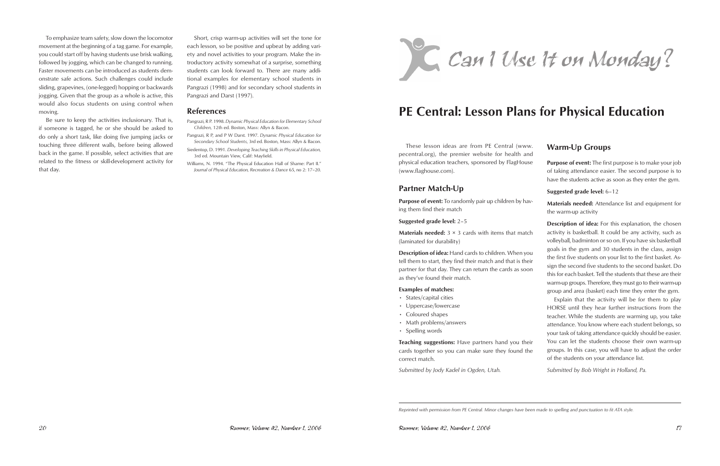To emphasize team safety, slow down the locomotor movement at the beginning of a tag game. For example, you could start off by having students use brisk walking, followed by jogging, which can be changed to running. Faster movements can be introduced as students demonstrate safe actions. Such challenges could include sliding, grapevines, (one-legged) hopping or backwards jogging. Given that the group as a whole is active, this would also focus students on using control when moving.

Be sure to keep the activities inclusionary. That is, if someone is tagged, he or she should be asked to do only a short task, like doing five jumping jacks or touching three different walls, before being allowed back in the game. If possible, select activities that are related to the fitness or skill-development activity for that day.

These lesson ideas are from PE Central (www. pecentral.org), the premier website for health and physical education teachers, sponsored by FlagHouse (www.flaghouse.com).

Short, crisp warm-up activities will set the tone for each lesson, so be positive and upbeat by adding variety and novel activities to your program. Make the introductory activity somewhat of a surprise, something students can look forward to. There are many additional examples for elementary school students in Pangrazi (1998) and for secondary school students in Pangrazi and Darst (1997).

- States/capital cities
- Uppercase/lowercase
- Coloured shapes
- Math problems/answers
- Spelling words

### **References**

- Pangrazi, R P. 1998. *Dynamic Physical Education for Elementary School Children,* 12th ed. Boston, Mass: Allyn & Bacon.
- Pangrazi, R P, and P W Darst. 1997. *Dynamic Physical Education for Secondary School Students*, 3rd ed. Boston, Mass: Allyn & Bacon.
- Siedentop, D. 1991. *Developing Teaching Skills in Physical Education,*  3rd ed. Mountain View, Calif: Mayfield.
- Williams, N. 1994. "The Physical Education Hall of Shame: Part II." *Journal of Physical Education, Recreation & Dance* 65, no 2: 17–20.

**Materials needed:** 3 × 3 cards with items that match (laminated for durability) **Description of idea:** Hand cards to children. When you tell them to start, they find their match and that is their partner for that day. They can return the cards as soon as they've found their match. **Examples of matches: Description of idea:** For this explanation, the chosen activity is basketball. It could be any activity, such as volleyball, badminton or so on. If you have six basketball goals in the gym and 30 students in the class, assign the first five students on your list to the first basket. Assign the second five students to the second basket. Do this for each basket. Tell the students that these are their warm-up groups. Therefore, they must go to their warm-up group and area (basket) each time they enter the gym.



# **PE Central: Lesson Plans for Physical Education**

## **Partner Match-Up**

**Purpose of event:** To randomly pair up children by having them find their match

**Suggested grade level:** 2–5

**Teaching suggestions:** Have partners hand you their cards together so you can make sure they found the correct match.

*Submitted by Jody Kadel in Ogden, Utah.*

### **Warm-Up Groups**

**Purpose of event:** The first purpose is to make your job of taking attendance easier. The second purpose is to have the students active as soon as they enter the gym.

#### **Suggested grade level:** 6–12

**Materials needed:** Attendance list and equipment for the warm-up activity

Explain that the activity will be for them to play HORSE until they hear further instructions from the teacher. While the students are warming up, you take attendance. You know where each student belongs, so your task of taking attendance quickly should be easier. You can let the students choose their own warm-up groups. In this case, you will have to adjust the order of the students on your attendance list.

*Submitted by Bob Wright in Holland, Pa.*

*Reprinted with permission from PE Central. Minor changes have been made to spelling and punctuation to fit ATA style.*